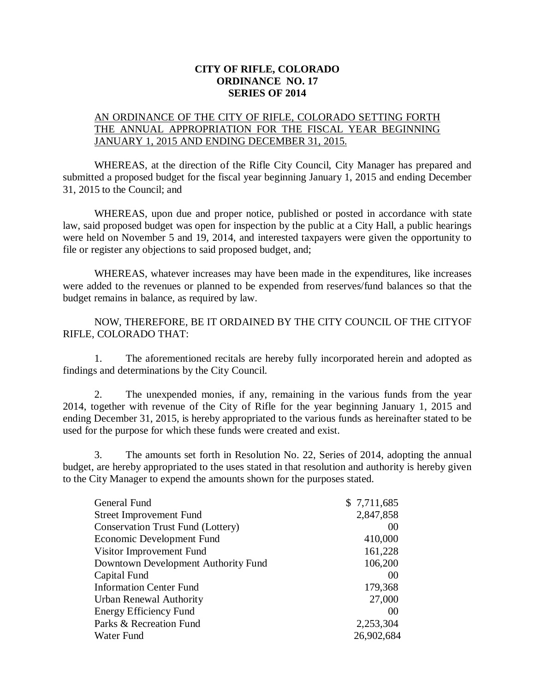## **CITY OF RIFLE, COLORADO ORDINANCE NO. 17 SERIES OF 2014**

## AN ORDINANCE OF THE CITY OF RIFLE, COLORADO SETTING FORTH THE ANNUAL APPROPRIATION FOR THE FISCAL YEAR BEGINNING JANUARY 1, 2015 AND ENDING DECEMBER 31, 2015.

WHEREAS, at the direction of the Rifle City Council, City Manager has prepared and submitted a proposed budget for the fiscal year beginning January 1, 2015 and ending December 31, 2015 to the Council; and

WHEREAS, upon due and proper notice, published or posted in accordance with state law, said proposed budget was open for inspection by the public at a City Hall, a public hearings were held on November 5 and 19, 2014, and interested taxpayers were given the opportunity to file or register any objections to said proposed budget, and;

WHEREAS, whatever increases may have been made in the expenditures, like increases were added to the revenues or planned to be expended from reserves/fund balances so that the budget remains in balance, as required by law.

NOW, THEREFORE, BE IT ORDAINED BY THE CITY COUNCIL OF THE CITYOF RIFLE, COLORADO THAT:

1. The aforementioned recitals are hereby fully incorporated herein and adopted as findings and determinations by the City Council.

2. The unexpended monies, if any, remaining in the various funds from the year 2014, together with revenue of the City of Rifle for the year beginning January 1, 2015 and ending December 31, 2015, is hereby appropriated to the various funds as hereinafter stated to be used for the purpose for which these funds were created and exist.

3. The amounts set forth in Resolution No. 22, Series of 2014, adopting the annual budget, are hereby appropriated to the uses stated in that resolution and authority is hereby given to the City Manager to expend the amounts shown for the purposes stated.

| General Fund                             | \$7,711,685 |
|------------------------------------------|-------------|
| <b>Street Improvement Fund</b>           | 2,847,858   |
| <b>Conservation Trust Fund (Lottery)</b> | 00          |
| Economic Development Fund                | 410,000     |
| Visitor Improvement Fund                 | 161,228     |
| Downtown Development Authority Fund      | 106,200     |
| Capital Fund                             | 00          |
| <b>Information Center Fund</b>           | 179,368     |
| Urban Renewal Authority                  | 27,000      |
| Energy Efficiency Fund                   | 00          |
| Parks & Recreation Fund                  | 2,253,304   |
| Water Fund                               | 26,902,684  |